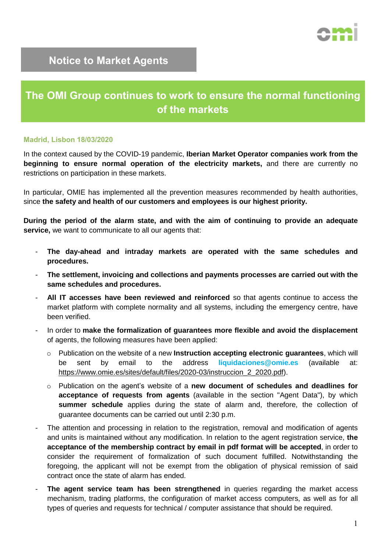

## **Notice to Market Agents**

## **The OMI Group continues to work to ensure the normal functioning of the markets**

## **Madrid, Lisbon 18/03/2020**

In the context caused by the COVID-19 pandemic, **Iberian Market Operator companies work from the beginning to ensure normal operation of the electricity markets,** and there are currently no restrictions on participation in these markets.

In particular, OMIE has implemented all the prevention measures recommended by health authorities, since **the safety and health of our customers and employees is our highest priority.**

**During the period of the alarm state, and with the aim of continuing to provide an adequate service,** we want to communicate to all our agents that:

- **The day-ahead and intraday markets are operated with the same schedules and procedures.**
- **The settlement, invoicing and collections and payments processes are carried out with the same schedules and procedures.**
- **All IT accesses have been reviewed and reinforced** so that agents continue to access the market platform with complete normality and all systems, including the emergency centre, have been verified.
- In order to **make the formalization of guarantees more flexible and avoid the displacement** of agents, the following measures have been applied:
	- o Publication on the website of a new **Instruction accepting electronic guarantees**, which will be sent by email to the address **liquidaciones@omie.es** (available at: [https://www.omie.es/sites/default/files/2020-03/instruccion\\_2\\_2020.pdf\)](https://www.omie.es/sites/default/files/2020-03/instruccion_2_2020.pdf).
	- o Publication on the agent's website of a **new document of schedules and deadlines for acceptance of requests from agents** (available in the section "Agent Data"), by which **summer schedule** applies during the state of alarm and, therefore, the collection of guarantee documents can be carried out until 2:30 p.m.
- The attention and processing in relation to the registration, removal and modification of agents and units is maintained without any modification. In relation to the agent registration service, **the acceptance of the membership contract by email in pdf format will be accepted**, in order to consider the requirement of formalization of such document fulfilled. Notwithstanding the foregoing, the applicant will not be exempt from the obligation of physical remission of said contract once the state of alarm has ended.
- **The agent service team has been strengthened** in queries regarding the market access mechanism, trading platforms, the configuration of market access computers, as well as for all types of queries and requests for technical / computer assistance that should be required.